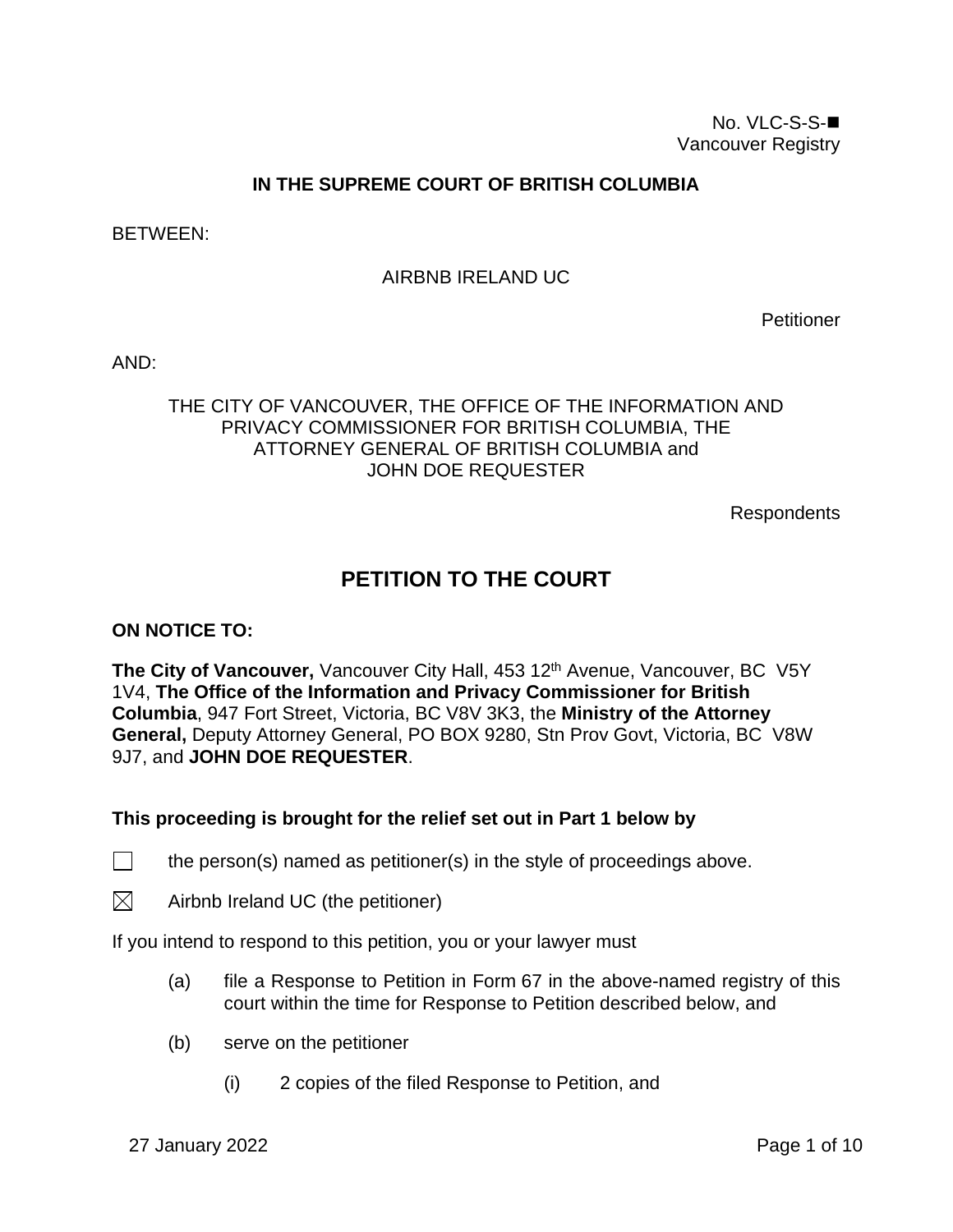## **IN THE SUPREME COURT OF BRITISH COLUMBIA**

BETWEEN:

## AIRBNB IRELAND UC

Petitioner

AND:

## THE CITY OF VANCOUVER, THE OFFICE OF THE INFORMATION AND PRIVACY COMMISSIONER FOR BRITISH COLUMBIA, THE ATTORNEY GENERAL OF BRITISH COLUMBIA and JOHN DOE REQUESTER

Respondents

# **PETITION TO THE COURT**

#### **ON NOTICE TO:**

**The City of Vancouver,** Vancouver City Hall, 453 12<sup>th</sup> Avenue, Vancouver, BC V5Y 1V4, **The Office of the Information and Privacy Commissioner for British Columbia**, 947 Fort Street, Victoria, BC V8V 3K3, the **Ministry of the Attorney General,** Deputy Attorney General, PO BOX 9280, Stn Prov Govt, Victoria, BC V8W 9J7, and **JOHN DOE REQUESTER**.

#### **This proceeding is brought for the relief set out in Part 1 below by**

- $\Box$  the person(s) named as petitioner(s) in the style of proceedings above.
- $\boxtimes$  Airbnb Ireland UC (the petitioner)

If you intend to respond to this petition, you or your lawyer must

- (a) file a Response to Petition in Form 67 in the above-named registry of this court within the time for Response to Petition described below, and
- (b) serve on the petitioner
	- (i) 2 copies of the filed Response to Petition, and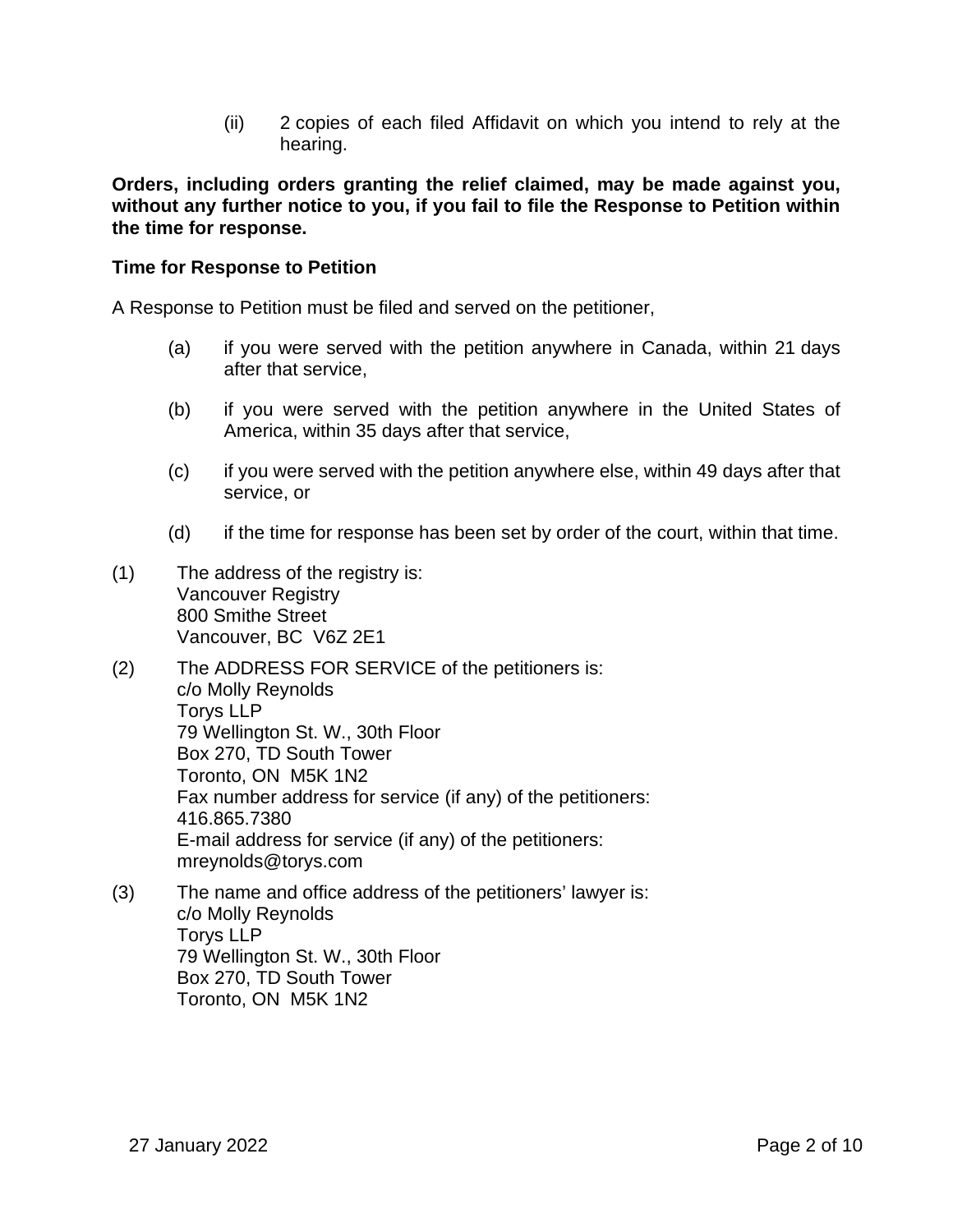(ii) 2 copies of each filed Affidavit on which you intend to rely at the hearing.

**Orders, including orders granting the relief claimed, may be made against you, without any further notice to you, if you fail to file the Response to Petition within the time for response.** 

### **Time for Response to Petition**

A Response to Petition must be filed and served on the petitioner,

- (a) if you were served with the petition anywhere in Canada, within 21 days after that service,
- (b) if you were served with the petition anywhere in the United States of America, within 35 days after that service,
- (c) if you were served with the petition anywhere else, within 49 days after that service, or
- (d) if the time for response has been set by order of the court, within that time.
- (1) The address of the registry is: Vancouver Registry 800 Smithe Street Vancouver, BC V6Z 2E1
- (2) The ADDRESS FOR SERVICE of the petitioners is: c/o Molly Reynolds Torys LLP 79 Wellington St. W., 30th Floor Box 270, TD South Tower Toronto, ON M5K 1N2 Fax number address for service (if any) of the petitioners: 416.865.7380 E-mail address for service (if any) of the petitioners: mreynolds@torys.com
- (3) The name and office address of the petitioners' lawyer is: c/o Molly Reynolds Torys LLP 79 Wellington St. W., 30th Floor Box 270, TD South Tower Toronto, ON M5K 1N2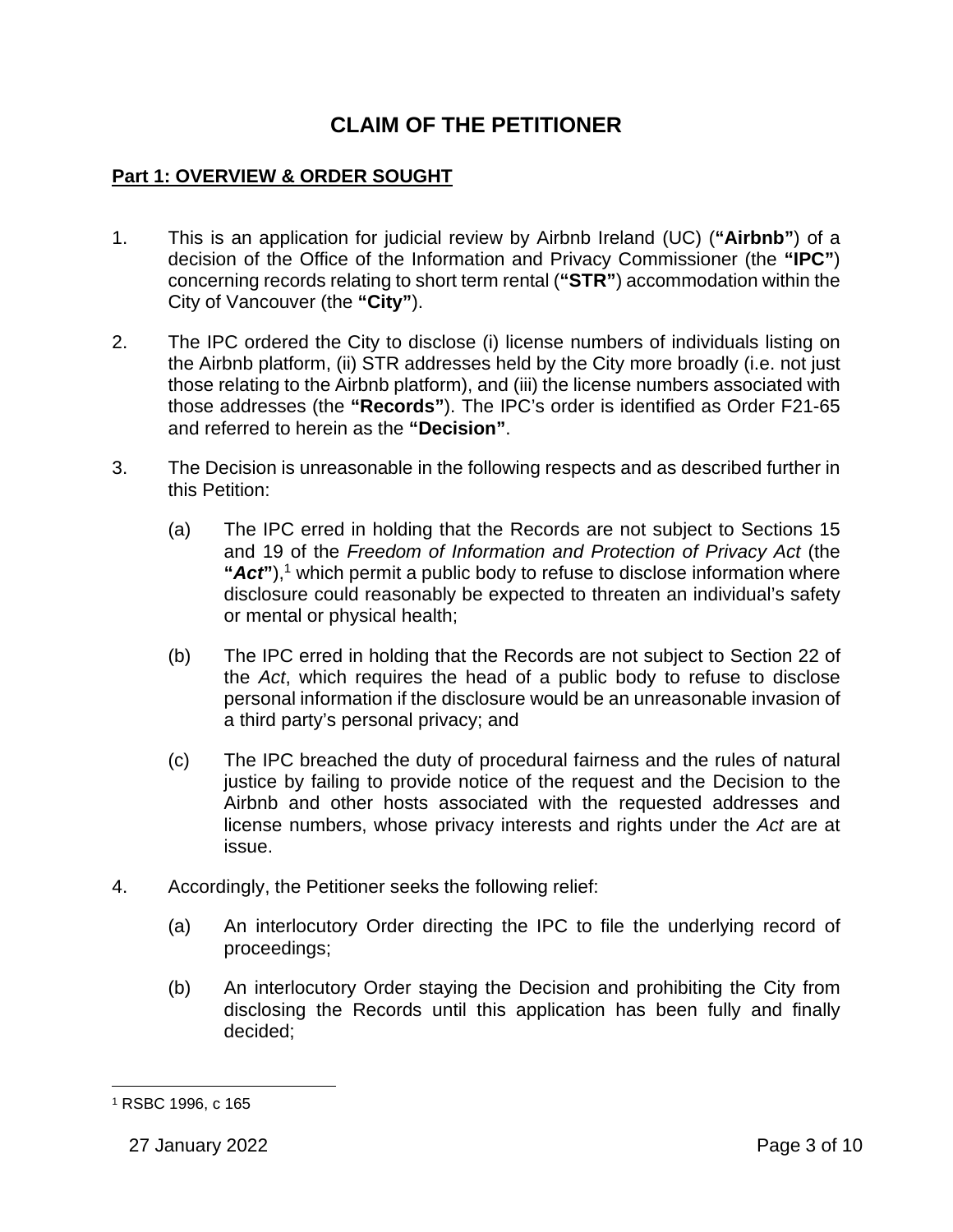# **CLAIM OF THE PETITIONER**

## **Part 1: OVERVIEW & ORDER SOUGHT**

- 1. This is an application for judicial review by Airbnb Ireland (UC) (**"Airbnb"**) of a decision of the Office of the Information and Privacy Commissioner (the **"IPC"**) concerning records relating to short term rental (**"STR"**) accommodation within the City of Vancouver (the **"City"**).
- 2. The IPC ordered the City to disclose (i) license numbers of individuals listing on the Airbnb platform, (ii) STR addresses held by the City more broadly (i.e. not just those relating to the Airbnb platform), and (iii) the license numbers associated with those addresses (the **"Records"**). The IPC's order is identified as Order F21-65 and referred to herein as the **"Decision"**.
- 3. The Decision is unreasonable in the following respects and as described further in this Petition:
	- (a) The IPC erred in holding that the Records are not subject to Sections 15 and 19 of the *Freedom of Information and Protection of Privacy Act* (the "Act"),<sup>1</sup> which permit a public body to refuse to disclose information where disclosure could reasonably be expected to threaten an individual's safety or mental or physical health;
	- (b) The IPC erred in holding that the Records are not subject to Section 22 of the *Act*, which requires the head of a public body to refuse to disclose personal information if the disclosure would be an unreasonable invasion of a third party's personal privacy; and
	- (c) The IPC breached the duty of procedural fairness and the rules of natural justice by failing to provide notice of the request and the Decision to the Airbnb and other hosts associated with the requested addresses and license numbers, whose privacy interests and rights under the *Act* are at issue.
- 4. Accordingly, the Petitioner seeks the following relief:
	- (a) An interlocutory Order directing the IPC to file the underlying record of proceedings;
	- (b) An interlocutory Order staying the Decision and prohibiting the City from disclosing the Records until this application has been fully and finally decided;

<sup>1</sup> RSBC 1996, c 165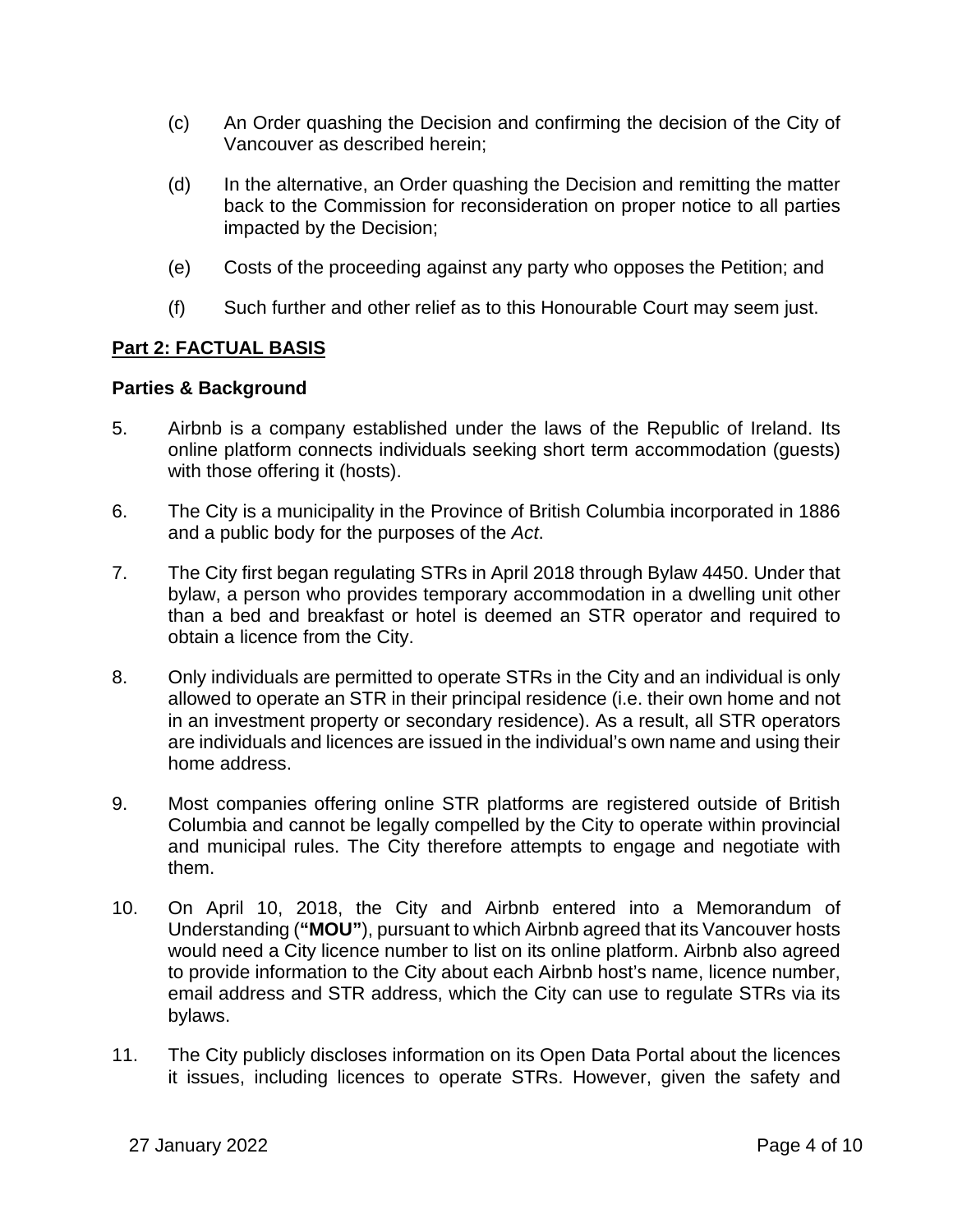- (c) An Order quashing the Decision and confirming the decision of the City of Vancouver as described herein;
- (d) In the alternative, an Order quashing the Decision and remitting the matter back to the Commission for reconsideration on proper notice to all parties impacted by the Decision;
- (e) Costs of the proceeding against any party who opposes the Petition; and
- (f) Such further and other relief as to this Honourable Court may seem just.

## **Part 2: FACTUAL BASIS**

#### **Parties & Background**

- 5. Airbnb is a company established under the laws of the Republic of Ireland. Its online platform connects individuals seeking short term accommodation (guests) with those offering it (hosts).
- 6. The City is a municipality in the Province of British Columbia incorporated in 1886 and a public body for the purposes of the *Act*.
- 7. The City first began regulating STRs in April 2018 through Bylaw 4450. Under that bylaw, a person who provides temporary accommodation in a dwelling unit other than a bed and breakfast or hotel is deemed an STR operator and required to obtain a licence from the City.
- 8. Only individuals are permitted to operate STRs in the City and an individual is only allowed to operate an STR in their principal residence (i.e. their own home and not in an investment property or secondary residence). As a result, all STR operators are individuals and licences are issued in the individual's own name and using their home address.
- 9. Most companies offering online STR platforms are registered outside of British Columbia and cannot be legally compelled by the City to operate within provincial and municipal rules. The City therefore attempts to engage and negotiate with them.
- 10. On April 10, 2018, the City and Airbnb entered into a Memorandum of Understanding (**"MOU"**), pursuant to which Airbnb agreed that its Vancouver hosts would need a City licence number to list on its online platform. Airbnb also agreed to provide information to the City about each Airbnb host's name, licence number, email address and STR address, which the City can use to regulate STRs via its bylaws.
- 11. The City publicly discloses information on its Open Data Portal about the licences it issues, including licences to operate STRs. However, given the safety and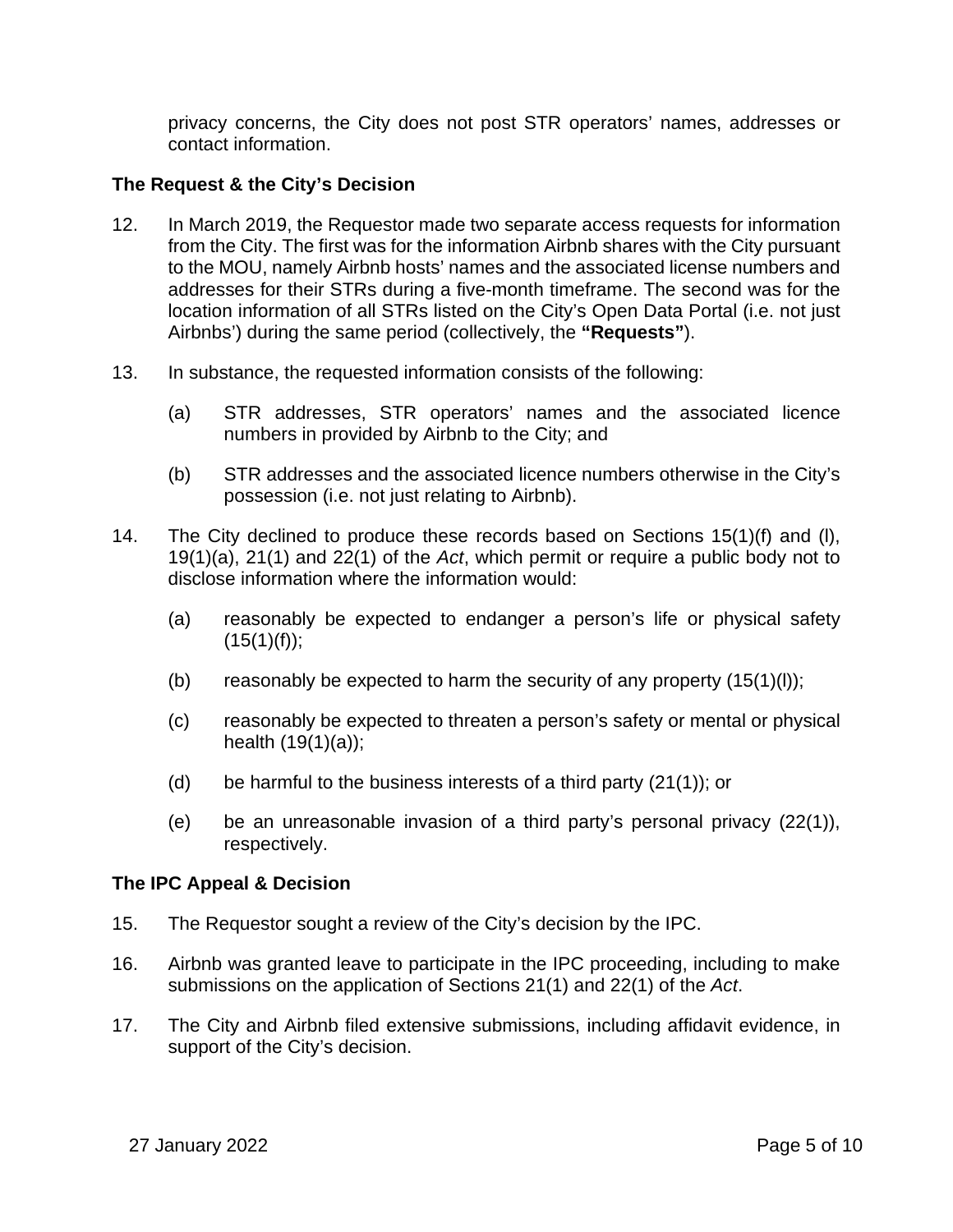privacy concerns, the City does not post STR operators' names, addresses or contact information.

## **The Request & the City's Decision**

- 12. In March 2019, the Requestor made two separate access requests for information from the City. The first was for the information Airbnb shares with the City pursuant to the MOU, namely Airbnb hosts' names and the associated license numbers and addresses for their STRs during a five-month timeframe. The second was for the location information of all STRs listed on the City's Open Data Portal (i.e. not just Airbnbs') during the same period (collectively, the **"Requests"**).
- 13. In substance, the requested information consists of the following:
	- (a) STR addresses, STR operators' names and the associated licence numbers in provided by Airbnb to the City; and
	- (b) STR addresses and the associated licence numbers otherwise in the City's possession (i.e. not just relating to Airbnb).
- 14. The City declined to produce these records based on Sections 15(1)(f) and (l), 19(1)(a), 21(1) and 22(1) of the *Act*, which permit or require a public body not to disclose information where the information would:
	- (a) reasonably be expected to endanger a person's life or physical safety  $(15(1)(f));$
	- (b) reasonably be expected to harm the security of any property  $(15(1)(l))$ ;
	- (c) reasonably be expected to threaten a person's safety or mental or physical health (19(1)(a));
	- (d) be harmful to the business interests of a third party  $(21(1))$ ; or
	- (e) be an unreasonable invasion of a third party's personal privacy  $(22(1))$ , respectively.

#### **The IPC Appeal & Decision**

- 15. The Requestor sought a review of the City's decision by the IPC.
- 16. Airbnb was granted leave to participate in the IPC proceeding, including to make submissions on the application of Sections 21(1) and 22(1) of the *Act*.
- 17. The City and Airbnb filed extensive submissions, including affidavit evidence, in support of the City's decision.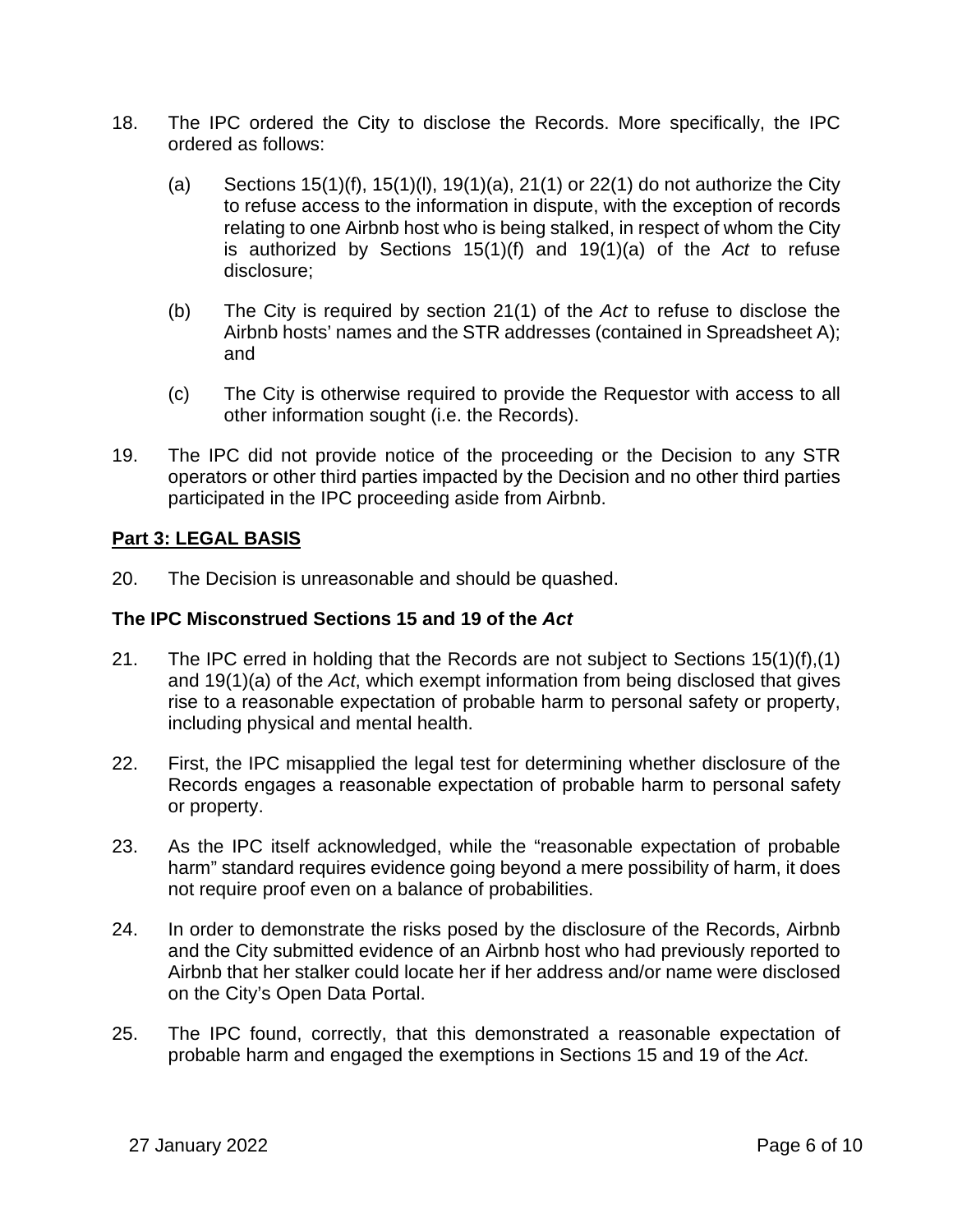- 18. The IPC ordered the City to disclose the Records. More specifically, the IPC ordered as follows:
	- (a) Sections  $15(1)(f)$ ,  $15(1)(l)$ ,  $19(1)(a)$ ,  $21(1)$  or  $22(1)$  do not authorize the City to refuse access to the information in dispute, with the exception of records relating to one Airbnb host who is being stalked, in respect of whom the City is authorized by Sections 15(1)(f) and 19(1)(a) of the *Act* to refuse disclosure;
	- (b) The City is required by section 21(1) of the *Act* to refuse to disclose the Airbnb hosts' names and the STR addresses (contained in Spreadsheet A); and
	- (c) The City is otherwise required to provide the Requestor with access to all other information sought (i.e. the Records).
- 19. The IPC did not provide notice of the proceeding or the Decision to any STR operators or other third parties impacted by the Decision and no other third parties participated in the IPC proceeding aside from Airbnb.

## **Part 3: LEGAL BASIS**

20. The Decision is unreasonable and should be quashed.

## **The IPC Misconstrued Sections 15 and 19 of the** *Act*

- 21. The IPC erred in holding that the Records are not subject to Sections 15(1)(f),(1) and 19(1)(a) of the *Act*, which exempt information from being disclosed that gives rise to a reasonable expectation of probable harm to personal safety or property, including physical and mental health.
- 22. First, the IPC misapplied the legal test for determining whether disclosure of the Records engages a reasonable expectation of probable harm to personal safety or property.
- 23. As the IPC itself acknowledged, while the "reasonable expectation of probable harm" standard requires evidence going beyond a mere possibility of harm, it does not require proof even on a balance of probabilities.
- 24. In order to demonstrate the risks posed by the disclosure of the Records, Airbnb and the City submitted evidence of an Airbnb host who had previously reported to Airbnb that her stalker could locate her if her address and/or name were disclosed on the City's Open Data Portal.
- 25. The IPC found, correctly, that this demonstrated a reasonable expectation of probable harm and engaged the exemptions in Sections 15 and 19 of the *Act*.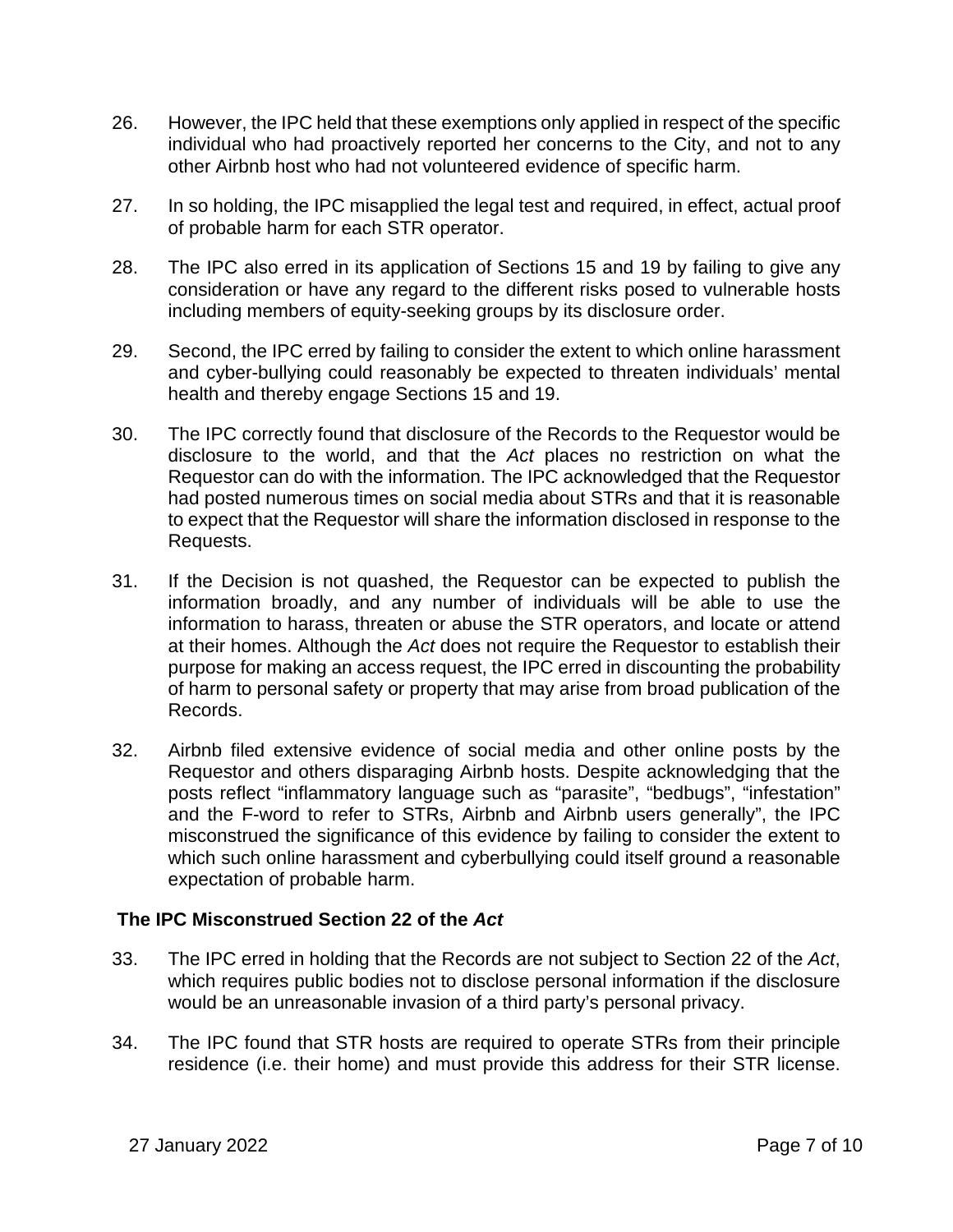- 26. However, the IPC held that these exemptions only applied in respect of the specific individual who had proactively reported her concerns to the City, and not to any other Airbnb host who had not volunteered evidence of specific harm.
- 27. In so holding, the IPC misapplied the legal test and required, in effect, actual proof of probable harm for each STR operator.
- 28. The IPC also erred in its application of Sections 15 and 19 by failing to give any consideration or have any regard to the different risks posed to vulnerable hosts including members of equity-seeking groups by its disclosure order.
- 29. Second, the IPC erred by failing to consider the extent to which online harassment and cyber-bullying could reasonably be expected to threaten individuals' mental health and thereby engage Sections 15 and 19.
- 30. The IPC correctly found that disclosure of the Records to the Requestor would be disclosure to the world, and that the *Act* places no restriction on what the Requestor can do with the information. The IPC acknowledged that the Requestor had posted numerous times on social media about STRs and that it is reasonable to expect that the Requestor will share the information disclosed in response to the Requests.
- 31. If the Decision is not quashed, the Requestor can be expected to publish the information broadly, and any number of individuals will be able to use the information to harass, threaten or abuse the STR operators, and locate or attend at their homes. Although the *Act* does not require the Requestor to establish their purpose for making an access request, the IPC erred in discounting the probability of harm to personal safety or property that may arise from broad publication of the Records.
- 32. Airbnb filed extensive evidence of social media and other online posts by the Requestor and others disparaging Airbnb hosts. Despite acknowledging that the posts reflect "inflammatory language such as "parasite", "bedbugs", "infestation" and the F-word to refer to STRs, Airbnb and Airbnb users generally", the IPC misconstrued the significance of this evidence by failing to consider the extent to which such online harassment and cyberbullying could itself ground a reasonable expectation of probable harm.

## **The IPC Misconstrued Section 22 of the** *Act*

- 33. The IPC erred in holding that the Records are not subject to Section 22 of the *Act*, which requires public bodies not to disclose personal information if the disclosure would be an unreasonable invasion of a third party's personal privacy.
- 34. The IPC found that STR hosts are required to operate STRs from their principle residence (i.e. their home) and must provide this address for their STR license.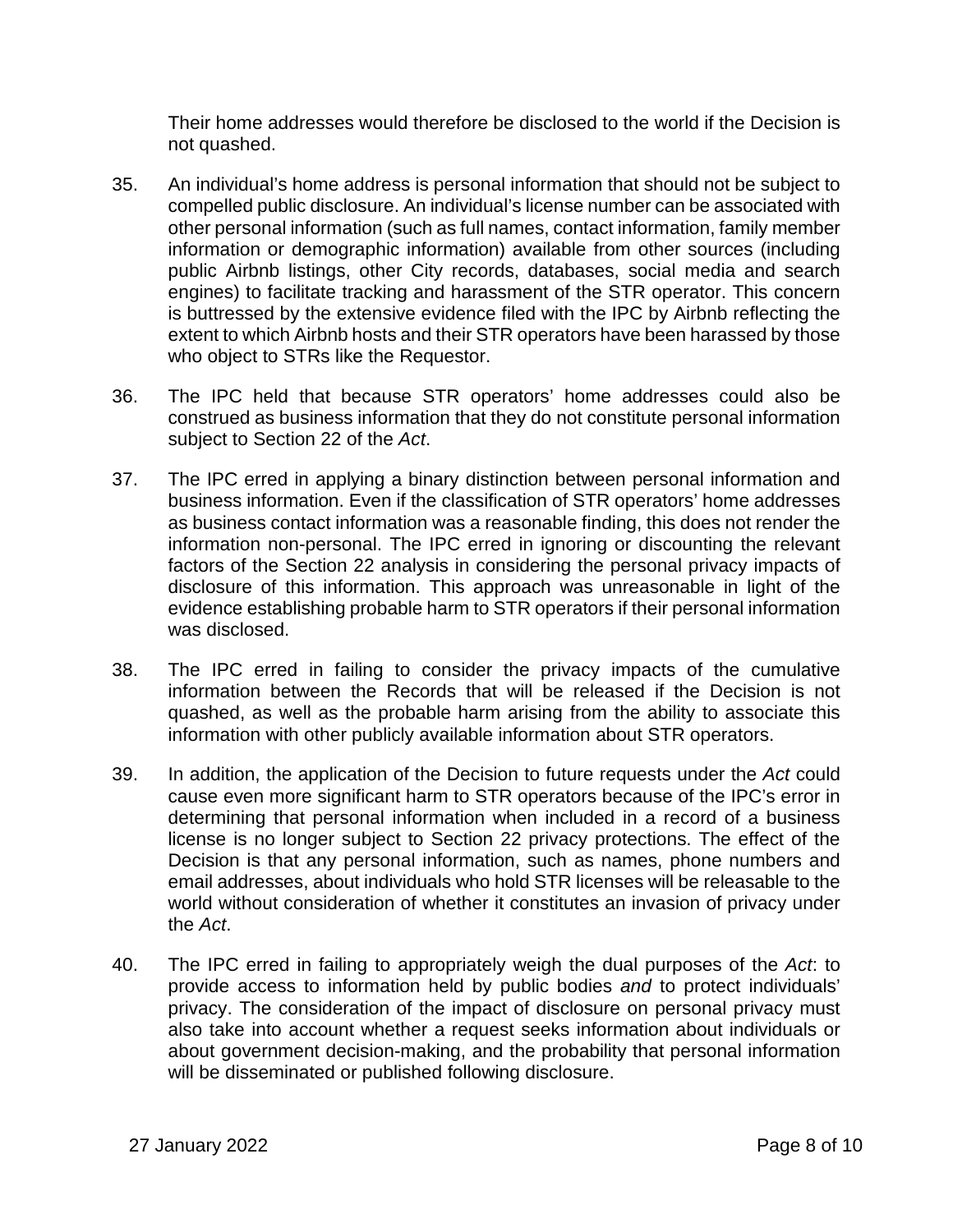Their home addresses would therefore be disclosed to the world if the Decision is not quashed.

- 35. An individual's home address is personal information that should not be subject to compelled public disclosure. An individual's license number can be associated with other personal information (such as full names, contact information, family member information or demographic information) available from other sources (including public Airbnb listings, other City records, databases, social media and search engines) to facilitate tracking and harassment of the STR operator. This concern is buttressed by the extensive evidence filed with the IPC by Airbnb reflecting the extent to which Airbnb hosts and their STR operators have been harassed by those who object to STRs like the Requestor.
- 36. The IPC held that because STR operators' home addresses could also be construed as business information that they do not constitute personal information subject to Section 22 of the *Act*.
- 37. The IPC erred in applying a binary distinction between personal information and business information. Even if the classification of STR operators' home addresses as business contact information was a reasonable finding, this does not render the information non-personal. The IPC erred in ignoring or discounting the relevant factors of the Section 22 analysis in considering the personal privacy impacts of disclosure of this information. This approach was unreasonable in light of the evidence establishing probable harm to STR operators if their personal information was disclosed.
- 38. The IPC erred in failing to consider the privacy impacts of the cumulative information between the Records that will be released if the Decision is not quashed, as well as the probable harm arising from the ability to associate this information with other publicly available information about STR operators.
- 39. In addition, the application of the Decision to future requests under the *Act* could cause even more significant harm to STR operators because of the IPC's error in determining that personal information when included in a record of a business license is no longer subject to Section 22 privacy protections. The effect of the Decision is that any personal information, such as names, phone numbers and email addresses, about individuals who hold STR licenses will be releasable to the world without consideration of whether it constitutes an invasion of privacy under the *Act*.
- 40. The IPC erred in failing to appropriately weigh the dual purposes of the *Act*: to provide access to information held by public bodies *and* to protect individuals' privacy. The consideration of the impact of disclosure on personal privacy must also take into account whether a request seeks information about individuals or about government decision-making, and the probability that personal information will be disseminated or published following disclosure.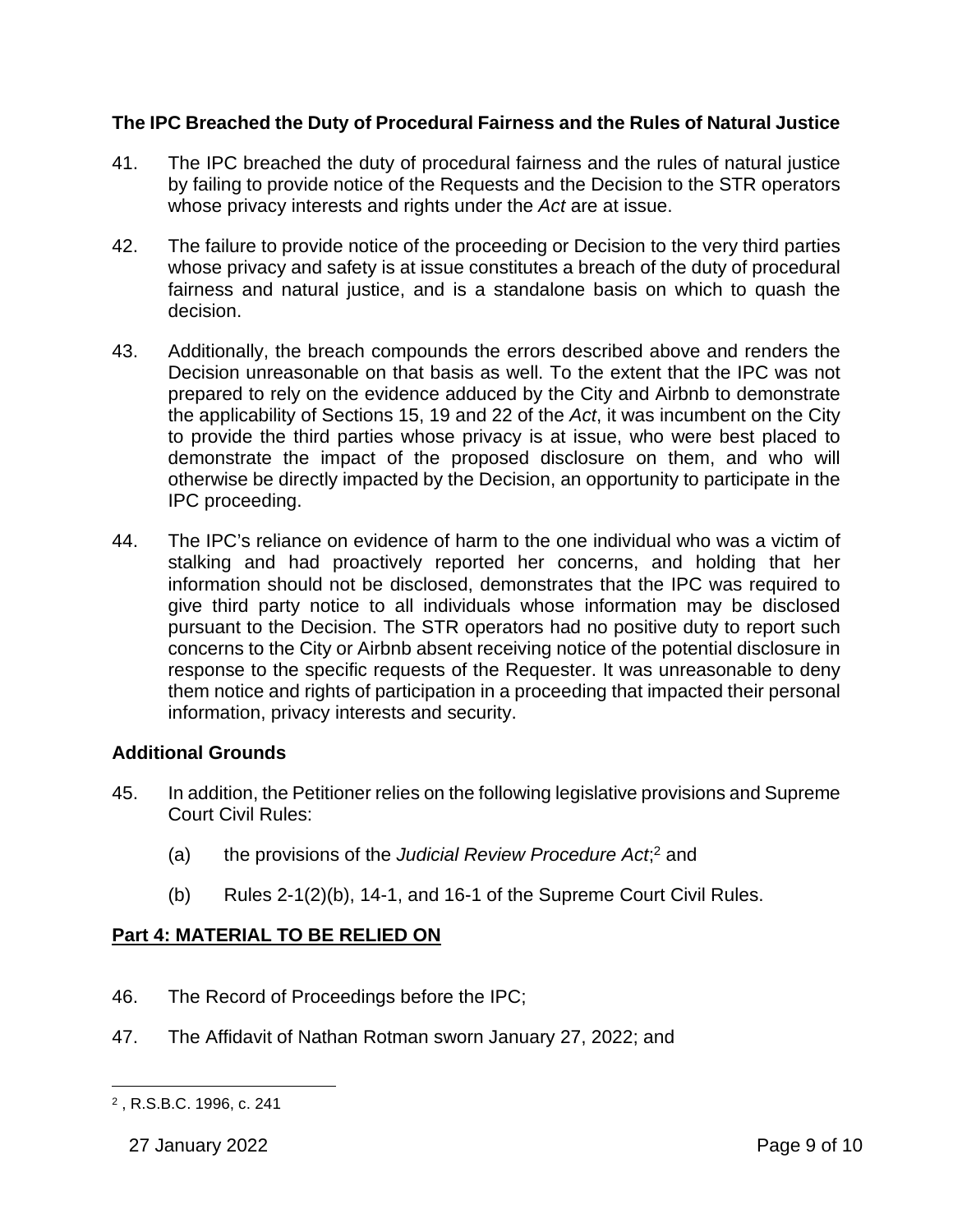## **The IPC Breached the Duty of Procedural Fairness and the Rules of Natural Justice**

- 41. The IPC breached the duty of procedural fairness and the rules of natural justice by failing to provide notice of the Requests and the Decision to the STR operators whose privacy interests and rights under the *Act* are at issue.
- 42. The failure to provide notice of the proceeding or Decision to the very third parties whose privacy and safety is at issue constitutes a breach of the duty of procedural fairness and natural justice, and is a standalone basis on which to quash the decision.
- 43. Additionally, the breach compounds the errors described above and renders the Decision unreasonable on that basis as well. To the extent that the IPC was not prepared to rely on the evidence adduced by the City and Airbnb to demonstrate the applicability of Sections 15, 19 and 22 of the *Act*, it was incumbent on the City to provide the third parties whose privacy is at issue, who were best placed to demonstrate the impact of the proposed disclosure on them, and who will otherwise be directly impacted by the Decision, an opportunity to participate in the IPC proceeding.
- 44. The IPC's reliance on evidence of harm to the one individual who was a victim of stalking and had proactively reported her concerns, and holding that her information should not be disclosed, demonstrates that the IPC was required to give third party notice to all individuals whose information may be disclosed pursuant to the Decision. The STR operators had no positive duty to report such concerns to the City or Airbnb absent receiving notice of the potential disclosure in response to the specific requests of the Requester. It was unreasonable to deny them notice and rights of participation in a proceeding that impacted their personal information, privacy interests and security.

## **Additional Grounds**

- 45. In addition, the Petitioner relies on the following legislative provisions and Supreme Court Civil Rules:
	- (a) the provisions of the *Judicial Review Procedure Act*;<sup>2</sup> and
	- (b) Rules  $2-1(2)(b)$ , 14-1, and 16-1 of the Supreme Court Civil Rules.

# **Part 4: MATERIAL TO BE RELIED ON**

- 46. The Record of Proceedings before the IPC;
- 47. The Affidavit of Nathan Rotman sworn January 27, 2022; and

<sup>2</sup> , R.S.B.C. 1996, c. 241